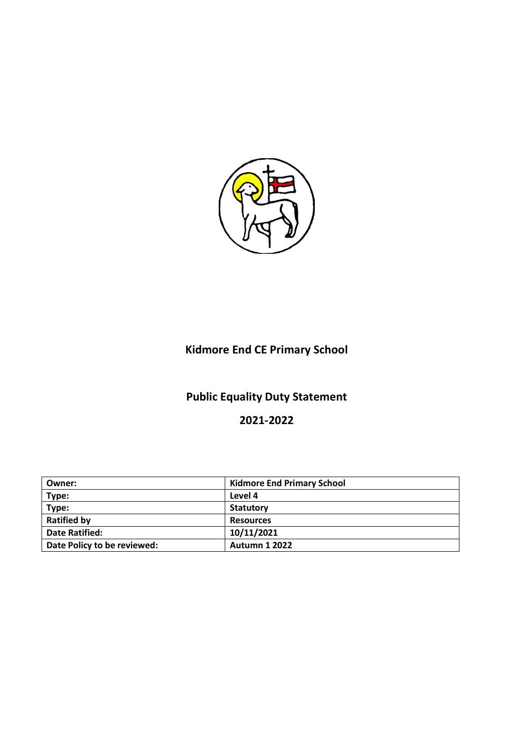

# **Kidmore End CE Primary School**

# **Public Equality Duty Statement**

## **2021-2022**

| Owner:                      | <b>Kidmore End Primary School</b> |
|-----------------------------|-----------------------------------|
| Type:                       | Level 4                           |
| Type:                       | <b>Statutory</b>                  |
| <b>Ratified by</b>          | <b>Resources</b>                  |
| <b>Date Ratified:</b>       | 10/11/2021                        |
| Date Policy to be reviewed: | <b>Autumn 1 2022</b>              |